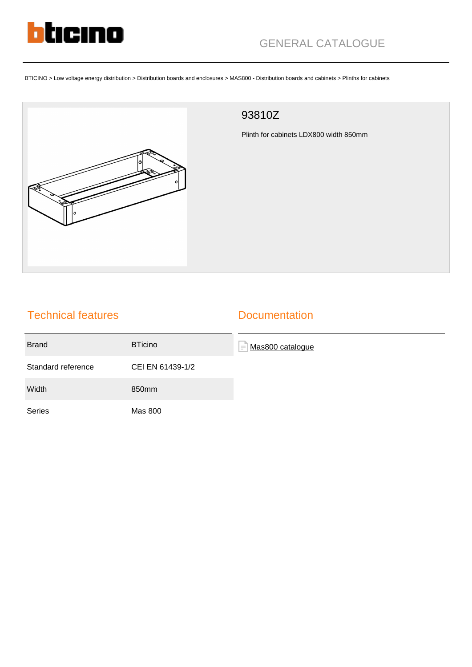

BTICINO > Low voltage energy distribution > Distribution boards and enclosures > MAS800 - Distribution boards and cabinets > Plinths for cabinets



## 93810Z

Plinth for cabinets LDX800 width 850mm

|  | <b>Technical features</b> |
|--|---------------------------|
|  |                           |

## **Documentation**

| <b>Brand</b>       | <b>BTicino</b>   | Mas800 catalogue<br>lΞ |
|--------------------|------------------|------------------------|
| Standard reference | CEI EN 61439-1/2 |                        |
| Width              | 850mm            |                        |
| Series             | <b>Mas 800</b>   |                        |